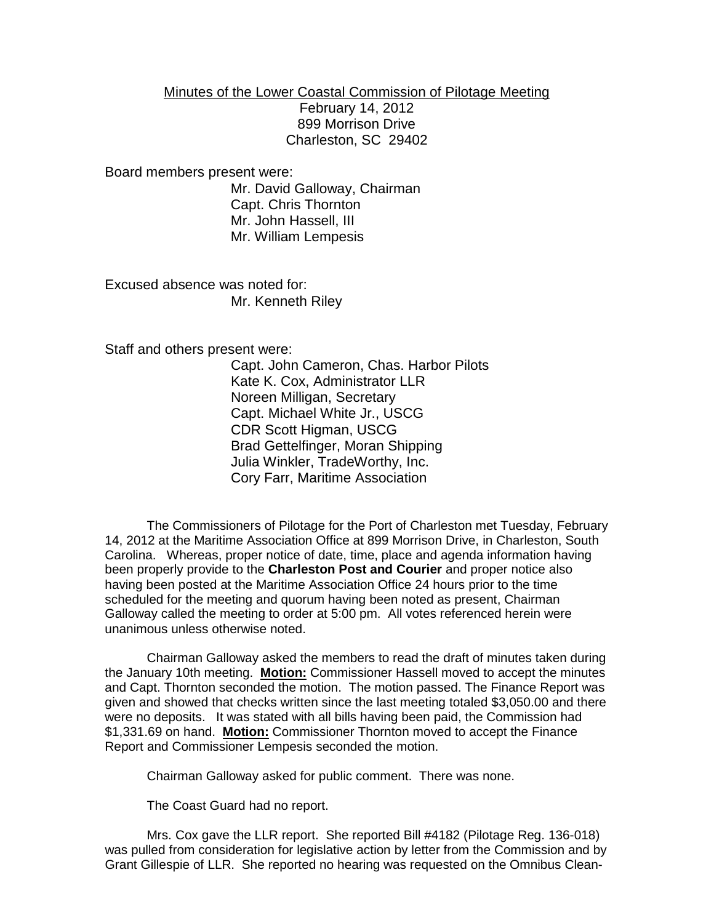## Minutes of the Lower Coastal Commission of Pilotage Meeting

February 14, 2012 899 Morrison Drive Charleston, SC 29402

## Board members present were:

Mr. David Galloway, Chairman Capt. Chris Thornton Mr. John Hassell, III Mr. William Lempesis

Excused absence was noted for: Mr. Kenneth Riley

Staff and others present were:

Capt. John Cameron, Chas. Harbor Pilots Kate K. Cox, Administrator LLR Noreen Milligan, Secretary Capt. Michael White Jr., USCG CDR Scott Higman, USCG Brad Gettelfinger, Moran Shipping Julia Winkler, TradeWorthy, Inc. Cory Farr, Maritime Association

The Commissioners of Pilotage for the Port of Charleston met Tuesday, February 14, 2012 at the Maritime Association Office at 899 Morrison Drive, in Charleston, South Carolina. Whereas, proper notice of date, time, place and agenda information having been properly provide to the **Charleston Post and Courier** and proper notice also having been posted at the Maritime Association Office 24 hours prior to the time scheduled for the meeting and quorum having been noted as present, Chairman Galloway called the meeting to order at 5:00 pm. All votes referenced herein were unanimous unless otherwise noted.

Chairman Galloway asked the members to read the draft of minutes taken during the January 10th meeting. **Motion:** Commissioner Hassell moved to accept the minutes and Capt. Thornton seconded the motion. The motion passed. The Finance Report was given and showed that checks written since the last meeting totaled \$3,050.00 and there were no deposits. It was stated with all bills having been paid, the Commission had \$1,331.69 on hand. **Motion:** Commissioner Thornton moved to accept the Finance Report and Commissioner Lempesis seconded the motion.

Chairman Galloway asked for public comment. There was none.

The Coast Guard had no report.

Mrs. Cox gave the LLR report. She reported Bill #4182 (Pilotage Reg. 136-018) was pulled from consideration for legislative action by letter from the Commission and by Grant Gillespie of LLR. She reported no hearing was requested on the Omnibus Clean-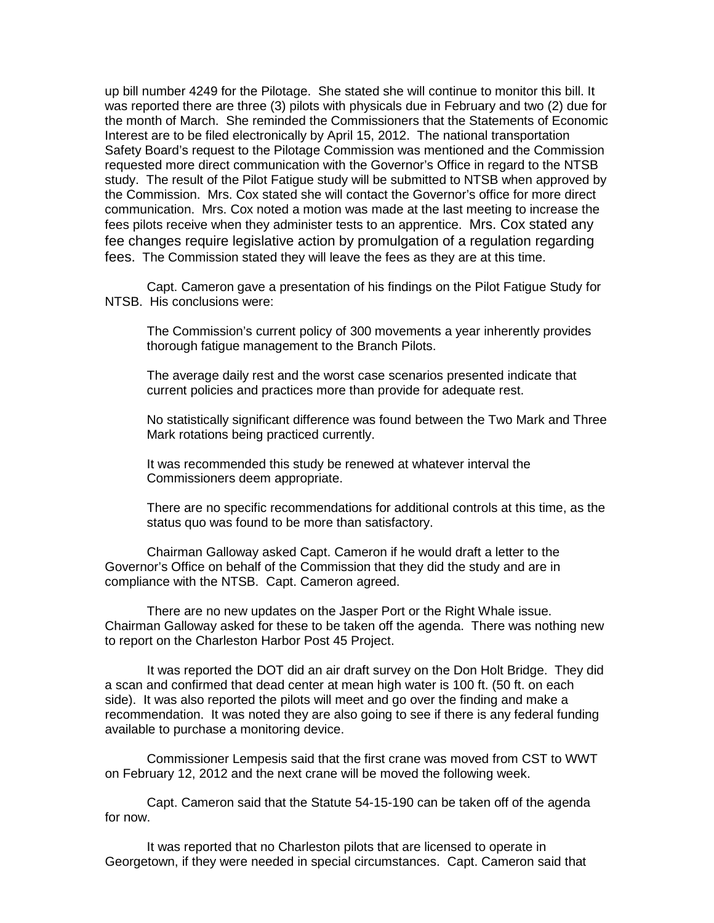up bill number 4249 for the Pilotage. She stated she will continue to monitor this bill. It was reported there are three (3) pilots with physicals due in February and two (2) due for the month of March. She reminded the Commissioners that the Statements of Economic Interest are to be filed electronically by April 15, 2012. The national transportation Safety Board's request to the Pilotage Commission was mentioned and the Commission requested more direct communication with the Governor's Office in regard to the NTSB study. The result of the Pilot Fatigue study will be submitted to NTSB when approved by the Commission. Mrs. Cox stated she will contact the Governor's office for more direct communication. Mrs. Cox noted a motion was made at the last meeting to increase the fees pilots receive when they administer tests to an apprentice. Mrs. Cox stated any fee changes require legislative action by promulgation of a regulation regarding fees. The Commission stated they will leave the fees as they are at this time.

Capt. Cameron gave a presentation of his findings on the Pilot Fatigue Study for NTSB. His conclusions were:

The Commission's current policy of 300 movements a year inherently provides thorough fatigue management to the Branch Pilots.

The average daily rest and the worst case scenarios presented indicate that current policies and practices more than provide for adequate rest.

No statistically significant difference was found between the Two Mark and Three Mark rotations being practiced currently.

It was recommended this study be renewed at whatever interval the Commissioners deem appropriate.

There are no specific recommendations for additional controls at this time, as the status quo was found to be more than satisfactory.

Chairman Galloway asked Capt. Cameron if he would draft a letter to the Governor's Office on behalf of the Commission that they did the study and are in compliance with the NTSB. Capt. Cameron agreed.

There are no new updates on the Jasper Port or the Right Whale issue. Chairman Galloway asked for these to be taken off the agenda. There was nothing new to report on the Charleston Harbor Post 45 Project.

It was reported the DOT did an air draft survey on the Don Holt Bridge. They did a scan and confirmed that dead center at mean high water is 100 ft. (50 ft. on each side). It was also reported the pilots will meet and go over the finding and make a recommendation. It was noted they are also going to see if there is any federal funding available to purchase a monitoring device.

Commissioner Lempesis said that the first crane was moved from CST to WWT on February 12, 2012 and the next crane will be moved the following week.

Capt. Cameron said that the Statute 54-15-190 can be taken off of the agenda for now.

It was reported that no Charleston pilots that are licensed to operate in Georgetown, if they were needed in special circumstances. Capt. Cameron said that